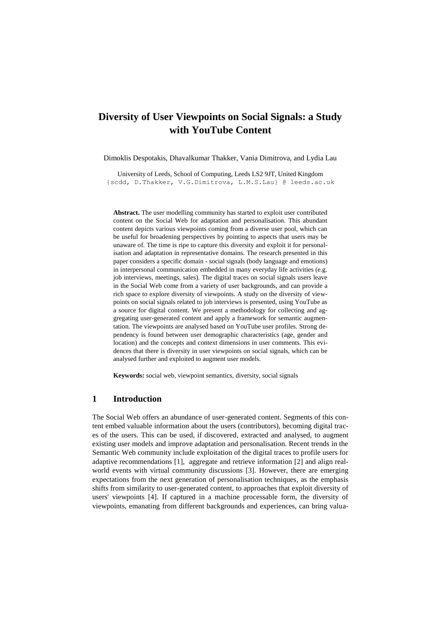# **Diversity of User Viewpoints on Social Signals: a Study with YouTube Content**

Dimoklis Despotakis, Dhavalkumar Thakker, Vania Dimitrova, and Lydia Lau

University of Leeds, School of Computing, Leeds LS2 9JT, United Kingdom {scdd, D.Thakker, V.G.Dimitrova, L.M.S.Lau} @ leeds.ac.uk

**Abstract.** The user modelling community has started to exploit user contributed content on the Social Web for adaptation and personalisation. This abundant content depicts various viewpoints coming from a diverse user pool, which can be useful for broadening perspectives by pointing to aspects that users may be unaware of. The time is ripe to capture this diversity and exploit it for personalisation and adaptation in representative domains. The research presented in this paper considers a specific domain - social signals (body language and emotions) in interpersonal communication embedded in many everyday life activities (e.g. job interviews, meetings, sales). The digital traces on social signals users leave in the Social Web come from a variety of user backgrounds, and can provide a rich space to explore diversity of viewpoints. A study on the diversity of viewpoints on social signals related to job interviews is presented, using YouTube as a source for digital content. We present a methodology for collecting and aggregating user-generated content and apply a framework for semantic augmentation. The viewpoints are analysed based on YouTube user profiles. Strong dependency is found between user demographic characteristics (age, gender and location) and the concepts and context dimensions in user comments. This evidences that there is diversity in user viewpoints on social signals, which can be analysed further and exploited to augment user models.

**Keywords:** social web, viewpoint semantics, diversity, social signals

### **1 Introduction**

The Social Web offers an abundance of user-generated content. Segments of this content embed valuable information about the users (contributors), becoming digital traces of the users. This can be used, if discovered, extracted and analysed, to augment existing user models and improve adaptation and personalisation. Recent trends in the Semantic Web community include exploitation of the digital traces to profile users for adaptive recommendations [1], aggregate and retrieve information [2] and align realworld events with virtual community discussions [3]. However, there are emerging expectations from the next generation of personalisation techniques, as the emphasis shifts from similarity to user-generated content, to approaches that exploit diversity of users' viewpoints [4]. If captured in a machine processable form, the diversity of viewpoints, emanating from different backgrounds and experiences, can bring valua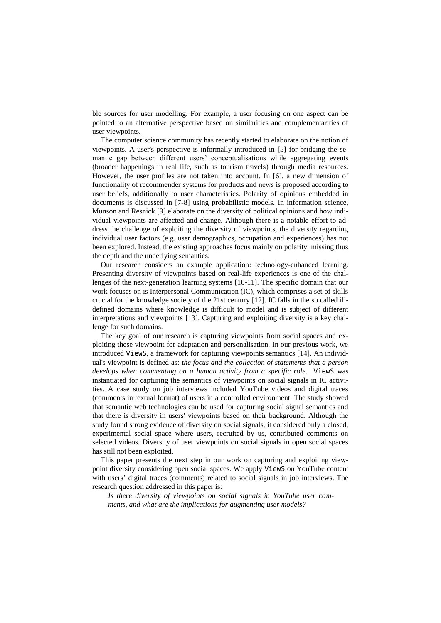ble sources for user modelling. For example, a user focusing on one aspect can be pointed to an alternative perspective based on similarities and complementarities of user viewpoints.

The computer science community has recently started to elaborate on the notion of viewpoints. A user's perspective is informally introduced in [5] for bridging the semantic gap between different users' conceptualisations while aggregating events (broader happenings in real life, such as tourism travels) through media resources. However, the user profiles are not taken into account. In [6], a new dimension of functionality of recommender systems for products and news is proposed according to user beliefs, additionally to user characteristics. Polarity of opinions embedded in documents is discussed in [7-8] using probabilistic models. In information science, Munson and Resnick [9] elaborate on the diversity of political opinions and how individual viewpoints are affected and change. Although there is a notable effort to address the challenge of exploiting the diversity of viewpoints, the diversity regarding individual user factors (e.g. user demographics, occupation and experiences) has not been explored. Instead, the existing approaches focus mainly on polarity, missing thus the depth and the underlying semantics.

Our research considers an example application: technology-enhanced learning. Presenting diversity of viewpoints based on real-life experiences is one of the challenges of the next-generation learning systems [10-11]. The specific domain that our work focuses on is Interpersonal Communication (IC), which comprises a set of skills crucial for the knowledge society of the 21st century [12]. IC falls in the so called illdefined domains where knowledge is difficult to model and is subject of different interpretations and viewpoints [13]. Capturing and exploiting diversity is a key challenge for such domains.

The key goal of our research is capturing viewpoints from social spaces and exploiting these viewpoint for adaptation and personalisation. In our previous work, we introduced ViewS, a framework for capturing viewpoints semantics [14]. An individual's viewpoint is defined as: *the focus and the collection of statements that a person develops when commenting on a human activity from a specific role*. ViewS was instantiated for capturing the semantics of viewpoints on social signals in IC activities. A case study on job interviews included YouTube videos and digital traces (comments in textual format) of users in a controlled environment. The study showed that semantic web technologies can be used for capturing social signal semantics and that there is diversity in users' viewpoints based on their background. Although the study found strong evidence of diversity on social signals, it considered only a closed, experimental social space where users, recruited by us, contributed comments on selected videos. Diversity of user viewpoints on social signals in open social spaces has still not been exploited.

This paper presents the next step in our work on capturing and exploiting viewpoint diversity considering open social spaces. We apply ViewS on YouTube content with users' digital traces (comments) related to social signals in job interviews. The research question addressed in this paper is:

*Is there diversity of viewpoints on social signals in YouTube user comments, and what are the implications for augmenting user models?*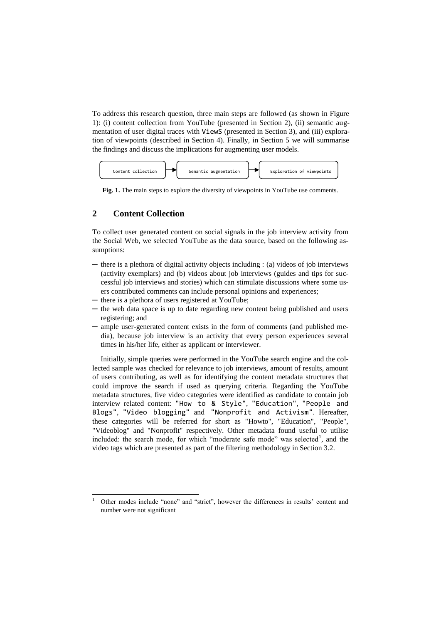To address this research question, three main steps are followed (as shown in Figure 1): (i) content collection from YouTube (presented in Section 2), (ii) semantic augmentation of user digital traces with ViewS (presented in Section 3), and (iii) exploration of viewpoints (described in Section 4). Finally, in Section 5 we will summarise the findings and discuss the implications for augmenting user models.



**Fig. 1.** The main steps to explore the diversity of viewpoints in YouTube use comments.

# **2 Content Collection**

 $\overline{a}$ 

To collect user generated content on social signals in the job interview activity from the Social Web, we selected YouTube as the data source, based on the following assumptions:

- ─ there is a plethora of digital activity objects including : (a) videos of job interviews (activity exemplars) and (b) videos about job interviews (guides and tips for successful job interviews and stories) which can stimulate discussions where some users contributed comments can include personal opinions and experiences;
- there is a plethora of users registered at YouTube;
- ─ the web data space is up to date regarding new content being published and users registering; and
- ─ ample user-generated content exists in the form of comments (and published media), because job interview is an activity that every person experiences several times in his/her life, either as applicant or interviewer.

Initially, simple queries were performed in the YouTube search engine and the collected sample was checked for relevance to job interviews, amount of results, amount of users contributing, as well as for identifying the content metadata structures that could improve the search if used as querying criteria. Regarding the YouTube metadata structures, five video categories were identified as candidate to contain job interview related content: "How to & Style", "Education", "People and Blogs", "Video blogging" and "Nonprofit and Activism". Hereafter, these categories will be referred for short as "Howto", "Education", "People", "Videoblog" and "Nonprofit" respectively. Other metadata found useful to utilise included: the search mode, for which "moderate safe mode" was selected<sup>1</sup>, and the video tags which are presented as part of the filtering methodology in Section 3.2.

<sup>1</sup> Other modes include "none" and "strict", however the differences in results' content and number were not significant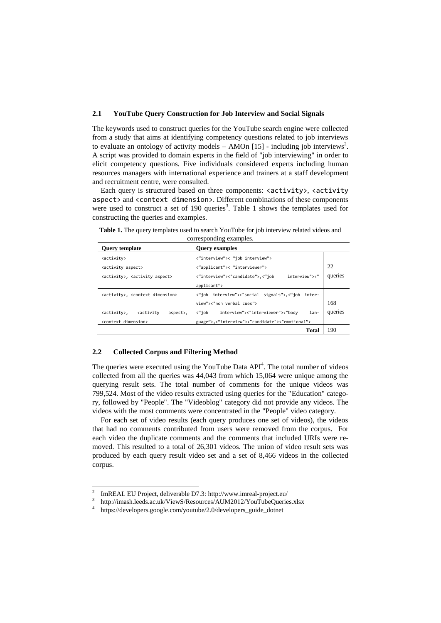### **2.1 YouTube Query Construction for Job Interview and Social Signals**

The keywords used to construct queries for the YouTube search engine were collected from a study that aims at identifying competency questions related to job interviews to evaluate an ontology of activity models  $-$  AMOn [15] - including job interviews<sup>2</sup>. A script was provided to domain experts in the field of "job interviewing" in order to elicit competency questions. Five individuals considered experts including human resources managers with international experience and trainers at a staff development and recruitment centre, were consulted.

Each query is structured based on three components:  $\langle \text{activity} \rangle$ ,  $\langle \text{activity} \rangle$ aspect> and <context dimension>. Different combinations of these components were used to construct a set of 190 queries<sup>3</sup>. Table 1 shows the templates used for constructing the queries and examples.

| <b>Query template</b>                                   | <b>Query examples</b>                             |         |
|---------------------------------------------------------|---------------------------------------------------|---------|
| <activity></activity>                                   | <"interview">< "job interview">                   |         |
| <activity aspect=""></activity>                         | <"applicant">< "interviewer">                     | 22      |
| <activity>, <activity aspect=""></activity></activity>  | interview"><"<br><"interview"><"candidate">,<"job | queries |
|                                                         | applicant">                                       |         |
| <activity>, <context dimension=""></context></activity> | <"job interview"><"social signals">,<"job inter-  |         |
|                                                         | view"><"non verbal cues">                         | 168     |
| kactivity<br><activity>,<br/>aspect&gt;,</activity>     | <"iob<br>interview"><"interviewer"><"body<br>lan- | queries |
| <context dimension=""></context>                        | guage">,<"interview"><"candidate"><"emotional">   |         |
|                                                         | Total                                             | 190     |

**Table 1.** The query templates used to search YouTube for job interview related videos and corresponding examples.

### **2.2 Collected Corpus and Filtering Method**

The queries were executed using the YouTube Data  $API<sup>4</sup>$ . The total number of videos collected from all the queries was 44,043 from which 15,064 were unique among the querying result sets. The total number of comments for the unique videos was 799,524. Most of the video results extracted using queries for the "Education" category, followed by "People". The "Videoblog" category did not provide any videos. The videos with the most comments were concentrated in the "People" video category.

For each set of video results (each query produces one set of videos), the videos that had no comments contributed from users were removed from the corpus. For each video the duplicate comments and the comments that included URIs were removed. This resulted to a total of 26,301 videos. The union of video result sets was produced by each query result video set and a set of 8,466 videos in the collected corpus.

 $\frac{1}{2}$ ImREAL EU Project, deliverable D7.3: http://www.imreal-project.eu/

<sup>3</sup> http://imash.leeds.ac.uk/ViewS/Resources/AUM2012/YouTubeQueries.xlsx

<sup>4</sup> https://developers.google.com/youtube/2.0/developers\_guide\_dotnet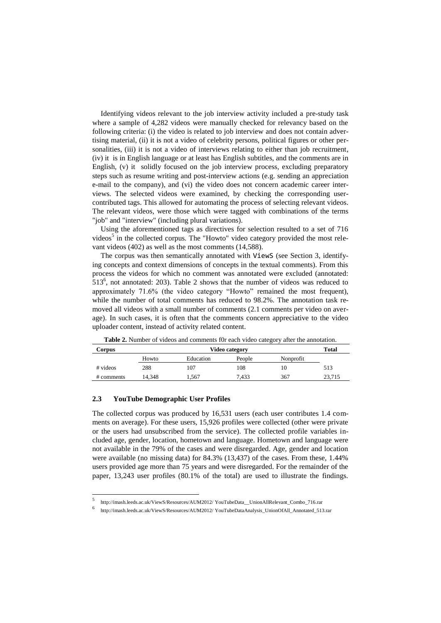Identifying videos relevant to the job interview activity included a pre-study task where a sample of 4,282 videos were manually checked for relevancy based on the following criteria: (i) the video is related to job interview and does not contain advertising material, (ii) it is not a video of celebrity persons, political figures or other personalities, (iii) it is not a video of interviews relating to either than job recruitment, (iv) it is in English language or at least has English subtitles, and the comments are in English, (v) it solidly focused on the job interview process, excluding preparatory steps such as resume writing and post-interview actions (e.g. sending an appreciation e-mail to the company), and (vi) the video does not concern academic career interviews. The selected videos were examined, by checking the corresponding usercontributed tags. This allowed for automating the process of selecting relevant videos. The relevant videos, were those which were tagged with combinations of the terms "job" and "interview" (including plural variations).

Using the aforementioned tags as directives for selection resulted to a set of 716 videos<sup>5</sup> in the collected corpus. The "Howto" video category provided the most relevant videos (402) as well as the most comments (14,588).

The corpus was then semantically annotated with ViewS (see Section 3, identifying concepts and context dimensions of concepts in the textual comments). From this process the videos for which no comment was annotated were excluded (annotated:  $513<sup>6</sup>$ , not annotated: 203). Table 2 shows that the number of videos was reduced to approximately 71.6% (the video category "Howto" remained the most frequent), while the number of total comments has reduced to 98.2%. The annotation task removed all videos with a small number of comments (2.1 comments per video on average). In such cases, it is often that the comments concern appreciative to the video uploader content, instead of activity related content.

| Corpus     |       | $\sim$<br>Video category |        |           | Total  |
|------------|-------|--------------------------|--------|-----------|--------|
|            | Howto | Education                | People | Nonprofit |        |
| # videos   | 288   | 107                      | 108    | 10        | 513    |
| # comments | 4.348 | . 567                    | 7.433  | 367       | 23,715 |

**Table 2.** Number of videos and comments f0r each video category after the annotation.

### **2.3 YouTube Demographic User Profiles**

 $\overline{a}$ 

The collected corpus was produced by 16,531 users (each user contributes 1.4 comments on average). For these users, 15,926 profiles were collected (other were private or the users had unsubscribed from the service). The collected profile variables included age, gender, location, hometown and language. Hometown and language were not available in the 79% of the cases and were disregarded. Age, gender and location were available (no missing data) for 84.3% (13,437) of the cases. From these, 1.44% users provided age more than 75 years and were disregarded. For the remainder of the paper, 13,243 user profiles (80.1% of the total) are used to illustrate the findings.

<sup>5</sup> http://imash.leeds.ac.uk/ViewS/Resources/AUM2012/ YouTubeData\_\_UnionAllRelevant\_Combo\_716.rar

<sup>6</sup> http://imash.leeds.ac.uk/ViewS/Resources/AUM2012/ YouTubeDataAnalysis\_UnionOfAll\_Annotated\_513.rar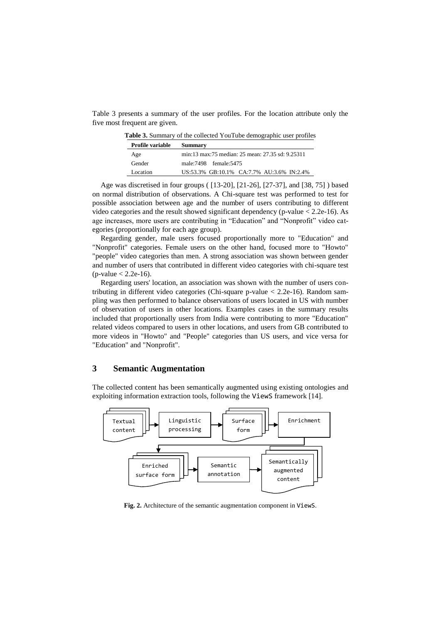Table 3 presents a summary of the user profiles. For the location attribute only the five most frequent are given.

**Table 3.** Summary of the collected YouTube demographic user profiles

| <b>Profile variable</b> | Summary                                          |
|-------------------------|--------------------------------------------------|
| Age                     | min:13 max:75 median: 25 mean: 27.35 sd: 9.25311 |
| Gender                  | male: 7498 female: 5475                          |
| Location                | US:53.3% GB:10.1% CA:7.7% AU:3.6% IN:2.4%        |

Age was discretised in four groups ( [13-20], [21-26], [27-37], and [38, 75] ) based on normal distribution of observations. A Chi-square test was performed to test for possible association between age and the number of users contributing to different video categories and the result showed significant dependency (p-value < 2.2e-16). As age increases, more users are contributing in "Education" and "Nonprofit" video categories (proportionally for each age group).

Regarding gender, male users focused proportionally more to "Education" and "Nonprofit" categories. Female users on the other hand, focused more to "Howto" "people" video categories than men. A strong association was shown between gender and number of users that contributed in different video categories with chi-square test  $(p-value < 2.2e-16)$ .

Regarding users' location, an association was shown with the number of users contributing in different video categories (Chi-square p-value < 2.2e-16). Random sampling was then performed to balance observations of users located in US with number of observation of users in other locations. Examples cases in the summary results included that proportionally users from India were contributing to more "Education" related videos compared to users in other locations, and users from GB contributed to more videos in "Howto" and "People" categories than US users, and vice versa for "Education" and "Nonprofit".

## **3 Semantic Augmentation**

The collected content has been semantically augmented using existing ontologies and exploiting information extraction tools, following the ViewS framework [14].



**Fig. 2.** Architecture of the semantic augmentation component in ViewS.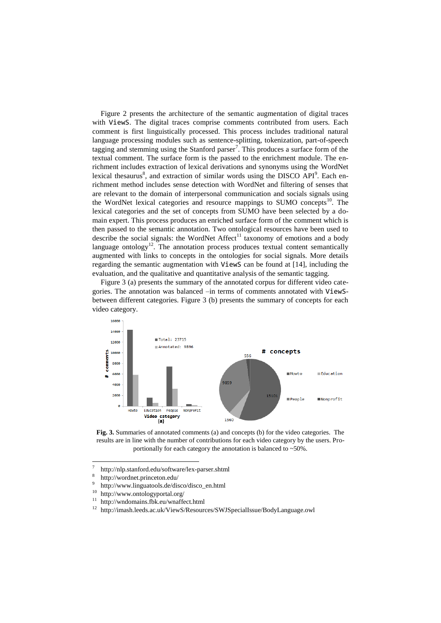Figure 2 presents the architecture of the semantic augmentation of digital traces with ViewS. The digital traces comprise comments contributed from users. Each comment is first linguistically processed. This process includes traditional natural language processing modules such as sentence-splitting, tokenization, part-of-speech tagging and stemming using the Stanford parser<sup>7</sup>. This produces a surface form of the textual comment. The surface form is the passed to the enrichment module. The enrichment includes extraction of lexical derivations and synonyms using the WordNet lexical thesaurus<sup>8</sup>, and extraction of similar words using the DISCO API<sup>9</sup>. Each enrichment method includes sense detection with WordNet and filtering of senses that are relevant to the domain of interpersonal communication and socials signals using the WordNet lexical categories and resource mappings to SUMO concepts<sup>10</sup>. The lexical categories and the set of concepts from SUMO have been selected by a domain expert. This process produces an enriched surface form of the comment which is then passed to the semantic annotation. Two ontological resources have been used to describe the social signals: the WordNet Affect<sup>11</sup> taxonomy of emotions and a body language ontology<sup>12</sup>. The annotation process produces textual content semantically augmented with links to concepts in the ontologies for social signals. More details regarding the semantic augmentation with ViewS can be found at [14], including the evaluation, and the qualitative and quantitative analysis of the semantic tagging.

Figure 3 (a) presents the summary of the annotated corpus for different video categories. The annotation was balanced –in terms of comments annotated with ViewSbetween different categories. Figure 3 (b) presents the summary of concepts for each video category.



**Fig. 3.** Summaries of annotated comments (a) and concepts (b) for the video categories. The results are in line with the number of contributions for each video category by the users. Proportionally for each category the annotation is balanced to ~50%.

<sup>11</sup> http://wndomains.fbk.eu/wnaffect.html<br><sup>12</sup> kttp://wnash.laada.aasul/MisurS/Daasuu

<sup>-&</sup>lt;br>7 http://nlp.stanford.edu/software/lex-parser.shtml

<sup>8</sup> http://wordnet.princeton.edu/

 $\overline{9}$ http://www.linguatools.de/disco/disco\_en.html

 $^{10}$  http://www.ontologyportal.org/

<sup>12</sup> http://imash.leeds.ac.uk/ViewS/Resources/SWJSpecialIssue/BodyLanguage.owl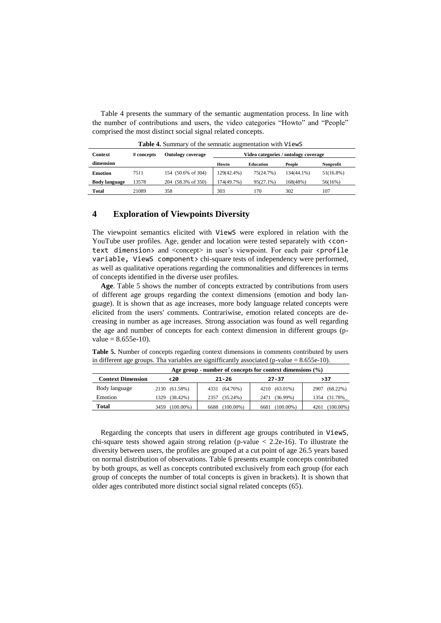Table 4 presents the summary of the semantic augmentation process. In line with the number of contributions and users, the video categories "Howto" and "People" comprised the most distinct social signal related concepts.

| <b>Context</b>       | # concepts | <b>Ontology coverage</b> | Video categories / ontology coverage |                  |            |                  |
|----------------------|------------|--------------------------|--------------------------------------|------------------|------------|------------------|
| dimension            |            |                          | Howto                                | <b>Education</b> | People     | <b>Nonprofit</b> |
| <b>Emotion</b>       | 7511       | 154 (50.6% of 304)       | 129(42.4%)                           | 75(24.7%)        | 134(44.1%) | $51(16.8\%)$     |
| <b>Body language</b> | 13578      | 204 (58.3% of 350)       | 174(49.7%)                           | $95(27.1\%)$     | 168(48%)   | 56(16%)          |
| <b>Total</b>         | 21089      | 358                      | 303                                  | 170              | 302        | 107              |

**Table 4.** Summary of the semnatic augmentation with ViewS

### **4 Exploration of Viewpoints Diversity**

The viewpoint semantics elicited with ViewS were explored in relation with the YouTube user profiles. Age, gender and location were tested separately with  $\zeta$ context dimension> and <concept> in user's viewpoint. For each pair <profile variable, ViewS component > chi-square tests of independency were performed, as well as qualitative operations regarding the commonalities and differences in terms of concepts identified in the diverse user profiles.

**Age**. Table 5 shows the number of concepts extracted by contributions from users of different age groups regarding the context dimensions (emotion and body language). It is shown that as age increases, more body language related concepts were elicited from the users' comments. Contrariwise, emotion related concepts are decreasing in number as age increases. Strong association was found as well regarding the age and number of concepts for each context dimension in different groups (p $value = 8.655e-10$ .

**Table 5.** Number of concepts regarding context dimensions in comments contributed by users in different age groups. Tha variables are signifficantly associated (p-value = 8.655e-10).

|                          | Age group - number of concepts for context dimensions $(\% )$ |                      |                      |                      |  |
|--------------------------|---------------------------------------------------------------|----------------------|----------------------|----------------------|--|
| <b>Context Dimension</b> | <20                                                           | $21 - 26$            | $27 - 37$            | >37                  |  |
| Body language            | 2130 (61.58%)                                                 | 4331 (64.76%)        | 4210 (63.01%)        | 2907 (68.22%)        |  |
| Emotion                  | $(38.42\%)$<br>1329                                           | $(35.24\%)$<br>2357  | $(36.99\%)$<br>2471  | 1354 (31.78%)        |  |
| Total                    | $(100.00\%)$<br>3459                                          | $(100.00\%)$<br>6688 | $(100.00\%)$<br>6681 | $(100.00\%)$<br>4261 |  |

Regarding the concepts that users in different age groups contributed in ViewS, chi-square tests showed again strong relation (p-value  $\lt 2.2e-16$ ). To illustrate the diversity between users, the profiles are grouped at a cut point of age 26.5 years based on normal distribution of observations. Table 6 presents example concepts contributed by both groups, as well as concepts contributed exclusively from each group (for each group of concepts the number of total concepts is given in brackets). It is shown that older ages contributed more distinct social signal related concepts (65).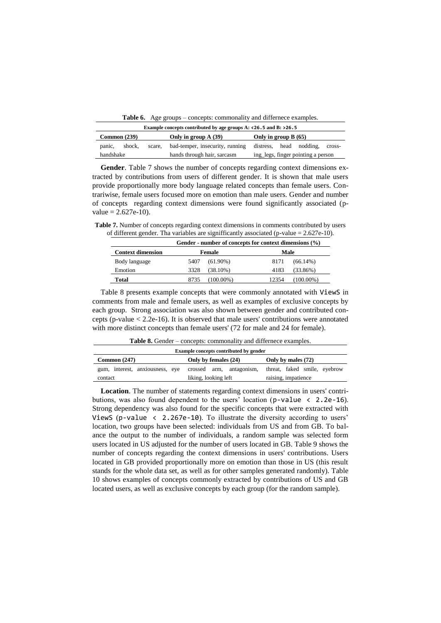Table 6. Age groups – concepts: commonality and differnece examples.

| Example concepts contributed by age groups A: $\langle 26.5 \text{ and } B: \rangle$ 26.5 |        |                                    |                                 |                                   |  |  |
|-------------------------------------------------------------------------------------------|--------|------------------------------------|---------------------------------|-----------------------------------|--|--|
| Only in group $B(65)$<br>Common (239)<br>Only in group A (39)                             |        |                                    |                                 |                                   |  |  |
| panic,                                                                                    | shock. | scare.                             | bad-temper, insecurity, running | distress, head nodding,<br>cross- |  |  |
| hands through hair, sarcasm<br>handshake                                                  |        | ing_legs, finger pointing a person |                                 |                                   |  |  |

**Gender**. Table 7 shows the number of concepts regarding context dimensions extracted by contributions from users of different gender. It is shown that male users provide proportionally more body language related concepts than female users. Contrariwise, female users focused more on emotion than male users. Gender and number of concepts regarding context dimensions were found significantly associated (p $value = 2.627e-10.$ 

**Table 7.** Number of concepts regarding context dimensions in comments contributed by users of different gender. Tha variables are signifficantly associated (p-value = 2.627e-10).

|                          | Gender - number of concepts for context dimensions $(\% )$ |              |       |              |
|--------------------------|------------------------------------------------------------|--------------|-------|--------------|
| <b>Context dimension</b> | Female                                                     |              | Male  |              |
| Body language            | 5407                                                       | $(61.90\%)$  | 8171  | $(66.14\%)$  |
| Emotion                  | 3328                                                       | (38.10%)     | 4183  | $(33.86\%)$  |
| Total                    | 8735                                                       | $(100.00\%)$ | 12354 | $(100.00\%)$ |

Table 8 presents example concepts that were commonly annotated with ViewS in comments from male and female users, as well as examples of exclusive concepts by each group. Strong association was also shown between gender and contributed concepts (p-value < 2.2e-16). It is observed that male users' contributions were annotated with more distinct concepts than female users' (72 for male and 24 for female).

**Table 8.** Gender – concepts: commonality and differnece examples.

| Example concepts contributed by gender     |                                                  |                                                     |  |  |
|--------------------------------------------|--------------------------------------------------|-----------------------------------------------------|--|--|
| Common $(247)$<br>Only by females (24)     |                                                  | Only by males (72)                                  |  |  |
| gum, interest, anxiousness, eye<br>contact | crossed arm, antagonism,<br>liking, looking left | threat, faked smile, eyebrow<br>raising, impatience |  |  |

**Location**. The number of statements regarding context dimensions in users' contributions, was also found dependent to the users' location  $(p$ -value  $\langle 2.2e-16 \rangle$ . Strong dependency was also found for the specific concepts that were extracted with ViewS (p-value  $\langle$  2.267e-10). To illustrate the diversity according to users' location, two groups have been selected: individuals from US and from GB. To balance the output to the number of individuals, a random sample was selected form users located in US adjusted for the number of users located in GB. Table 9 shows the number of concepts regarding the context dimensions in users' contributions. Users located in GB provided proportionally more on emotion than those in US (this result stands for the whole data set, as well as for other samples generated randomly). Table 10 shows examples of concepts commonly extracted by contributions of US and GB located users, as well as exclusive concepts by each group (for the random sample).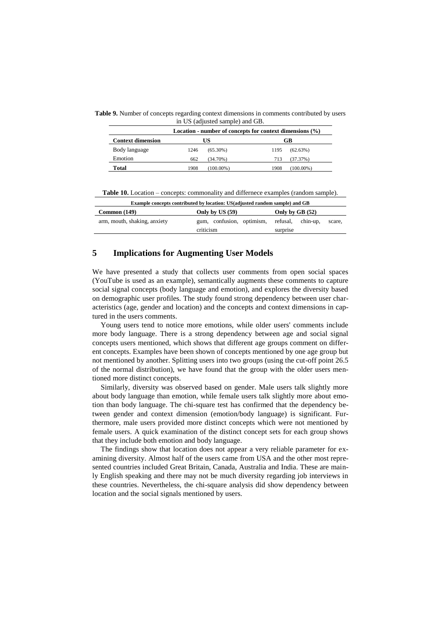**Table 9.** Number of concepts regarding context dimensions in comments contributed by users in US (adjusted sample) and GB.

| Location - number of concepts for context dimensions $(\% )$ |      |              |      |              |
|--------------------------------------------------------------|------|--------------|------|--------------|
| <b>Context dimension</b>                                     |      | US           |      | GB           |
| Body language                                                | 1246 | $(65.30\%)$  | 1195 | (62.63%)     |
| Emotion                                                      | 662  | $(34.70\%)$  | 713  | (37.37%)     |
| Total                                                        | 1908 | $(100.00\%)$ | 1908 | $(100.00\%)$ |

**Table 10.** Location – concepts: commonality and differnece examples (random sample). **Example concepts contributed by location: US(adjusted random sample) and GB**

| Example concepts contributed by location: US(adjusted random sample) and GB |                                                          |                    |  |  |
|-----------------------------------------------------------------------------|----------------------------------------------------------|--------------------|--|--|
| Common (149)                                                                | Only by US (59)<br>Only by GB $(52)$                     |                    |  |  |
| arm, mouth, shaking, anxiety                                                | gum, confusion, optimism, refusal, chin-up,<br>criticism | scare.<br>surprise |  |  |

### **5 Implications for Augmenting User Models**

We have presented a study that collects user comments from open social spaces (YouTube is used as an example), semantically augments these comments to capture social signal concepts (body language and emotion), and explores the diversity based on demographic user profiles. The study found strong dependency between user characteristics (age, gender and location) and the concepts and context dimensions in captured in the users comments.

Young users tend to notice more emotions, while older users' comments include more body language. There is a strong dependency between age and social signal concepts users mentioned, which shows that different age groups comment on different concepts. Examples have been shown of concepts mentioned by one age group but not mentioned by another. Splitting users into two groups (using the cut-off point 26.5 of the normal distribution), we have found that the group with the older users mentioned more distinct concepts.

Similarly, diversity was observed based on gender. Male users talk slightly more about body language than emotion, while female users talk slightly more about emotion than body language. The chi-square test has confirmed that the dependency between gender and context dimension (emotion/body language) is significant. Furthermore, male users provided more distinct concepts which were not mentioned by female users. A quick examination of the distinct concept sets for each group shows that they include both emotion and body language.

The findings show that location does not appear a very reliable parameter for examining diversity. Almost half of the users came from USA and the other most represented countries included Great Britain, Canada, Australia and India. These are mainly English speaking and there may not be much diversity regarding job interviews in these countries. Nevertheless, the chi-square analysis did show dependency between location and the social signals mentioned by users.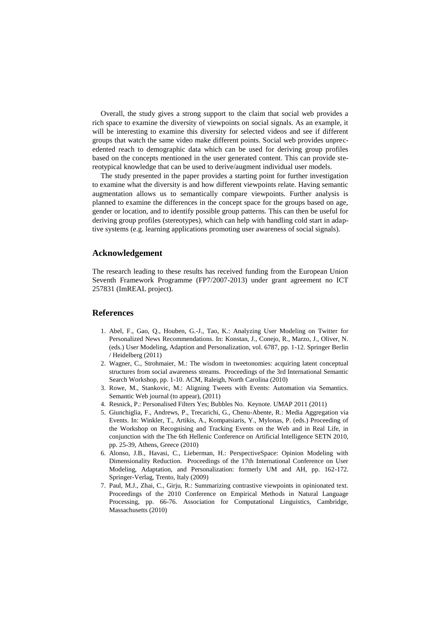Overall, the study gives a strong support to the claim that social web provides a rich space to examine the diversity of viewpoints on social signals. As an example, it will be interesting to examine this diversity for selected videos and see if different groups that watch the same video make different points. Social web provides unprecedented reach to demographic data which can be used for deriving group profiles based on the concepts mentioned in the user generated content. This can provide stereotypical knowledge that can be used to derive/augment individual user models.

The study presented in the paper provides a starting point for further investigation to examine what the diversity is and how different viewpoints relate. Having semantic augmentation allows us to semantically compare viewpoints. Further analysis is planned to examine the differences in the concept space for the groups based on age, gender or location, and to identify possible group patterns. This can then be useful for deriving group profiles (stereotypes), which can help with handling cold start in adaptive systems (e.g. learning applications promoting user awareness of social signals).

#### **Acknowledgement**

The research leading to these results has received funding from the European Union Seventh Framework Programme (FP7/2007-2013) under grant agreement no ICT 257831 (ImREAL project).

### **References**

- 1. Abel, F., Gao, Q., Houben, G.-J., Tao, K.: Analyzing User Modeling on Twitter for Personalized News Recommendations. In: Konstan, J., Conejo, R., Marzo, J., Oliver, N. (eds.) User Modeling, Adaption and Personalization, vol. 6787, pp. 1-12. Springer Berlin / Heidelberg (2011)
- 2. Wagner, C., Strohmaier, M.: The wisdom in tweetonomies: acquiring latent conceptual structures from social awareness streams. Proceedings of the 3rd International Semantic Search Workshop, pp. 1-10. ACM, Raleigh, North Carolina (2010)
- 3. Rowe, M., Stankovic, M.: Aligning Tweets with Events: Automation via Semantics. Semantic Web journal (to appear), (2011)
- 4. Resnick, P.: Personalised Filters Yes; Bubbles No. Keynote. UMAP 2011 (2011)
- 5. Giunchiglia, F., Andrews, P., Trecarichi, G., Chenu-Abente, R.: Media Aggregation via Events. In: Winkler, T., Artikis, A., Kompatsiaris, Y., Mylonas, P. (eds.) Proceeding of the Workshop on Recognising and Tracking Events on the Web and in Real Life, in conjunction with the The 6th Hellenic Conference on Artificial Intelligence SETN 2010, pp. 25-39, Athens, Greece (2010)
- 6. Alonso, J.B., Havasi, C., Lieberman, H.: PerspectiveSpace: Opinion Modeling with Dimensionality Reduction. Proceedings of the 17th International Conference on User Modeling, Adaptation, and Personalization: formerly UM and AH, pp. 162-172. Springer-Verlag, Trento, Italy (2009)
- 7. Paul, M.J., Zhai, C., Girju, R.: Summarizing contrastive viewpoints in opinionated text. Proceedings of the 2010 Conference on Empirical Methods in Natural Language Processing, pp. 66-76. Association for Computational Linguistics, Cambridge, Massachusetts (2010)